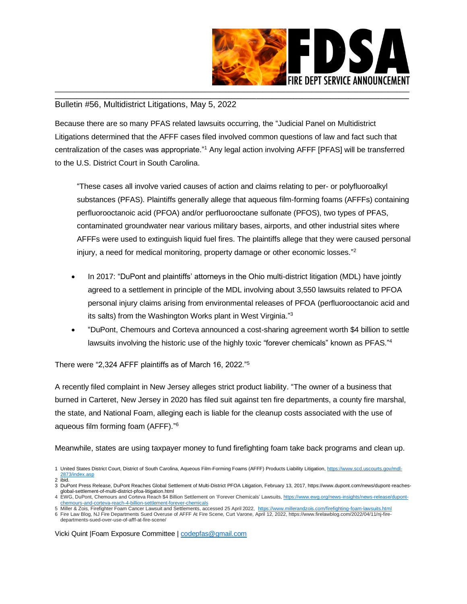

## \_\_\_\_\_\_\_\_\_\_\_\_\_\_\_\_\_\_\_\_\_\_\_\_\_\_\_\_\_\_\_\_\_\_\_\_\_\_\_\_\_\_\_\_\_\_\_\_\_\_\_\_\_\_\_\_\_\_\_\_\_\_\_\_\_\_\_\_\_\_\_\_\_\_\_\_\_\_\_\_\_\_\_\_\_\_\_\_\_\_\_\_\_\_\_\_\_\_\_\_\_\_\_\_\_\_\_\_\_\_\_\_\_\_\_\_ Bulletin #56, Multidistrict Litigations, May 5, 2022

Because there are so many PFAS related lawsuits occurring, the "Judicial Panel on Multidistrict Litigations determined that the AFFF cases filed involved common questions of law and fact such that centralization of the cases was appropriate."<sup>1</sup> Any legal action involving AFFF [PFAS] will be transferred to the U.S. District Court in South Carolina.

"These cases all involve varied causes of action and claims relating to per- or polyfluoroalkyl substances (PFAS). Plaintiffs generally allege that aqueous film-forming foams (AFFFs) containing perfluorooctanoic acid (PFOA) and/or perfluorooctane sulfonate (PFOS), two types of PFAS, contaminated groundwater near various military bases, airports, and other industrial sites where AFFFs were used to extinguish liquid fuel fires. The plaintiffs allege that they were caused personal injury, a need for medical monitoring, property damage or other economic losses." 2

- In 2017: "DuPont and plaintiffs' attorneys in the Ohio multi-district litigation (MDL) have jointly agreed to a settlement in principle of the MDL involving about 3,550 lawsuits related to PFOA personal injury claims arising from environmental releases of PFOA (perfluorooctanoic acid and its salts) from the Washington Works plant in West Virginia."<sup>3</sup>
- "DuPont, Chemours and Corteva announced a cost-sharing agreement worth \$4 billion to settle lawsuits involving the historic use of the highly toxic ["forever chemicals"](https://www.ewg.org/pfaschemicals/) known as PFAS."<sup>4</sup>

There were "2,324 AFFF plaintiffs as of March 16, 2022."<sup>5</sup>

A recently filed complaint in New Jersey alleges strict product liability. "The owner of a business that burned in Carteret, New Jersey in 2020 has filed suit against ten fire departments, a county fire marshal, the state, and National Foam, alleging each is liable for the cleanup costs associated with the use of aqueous film forming foam (AFFF)." 6

Meanwhile, states are using taxpayer money to fund firefighting foam take back programs and clean up.

Vicki Quint |Foam Exposure Committee [| codepfas@gmail.com](mailto:codepfas@gmail.com)

<sup>1</sup> United States District Court, District of South Carolina, Aqueous Film-Forming Foams (AFFF) Products Liability Litigation[, https://www.scd.uscourts.gov/mdl-](https://www.scd.uscourts.gov/mdl-2873/index.asp)[2873/index.asp](https://www.scd.uscourts.gov/mdl-2873/index.asp) 2 ibid.

<sup>3</sup> DuPont Press Release, DuPont Reaches Global Settlement of Multi-District PFOA Litigation, February 13, 2017, https://www.dupont.com/news/dupont-reachesglobal-settlement-of-multi-district-pfoa-litigation.html

<sup>4</sup> EWG, DuPont, Chemours and Corteva Reach \$4 Billion Settlement on 'Forever Chemicals' Lawsuits[, https://www.ewg.org/news-insights/news-release/dupont](https://www.ewg.org/news-insights/news-release/dupont-chemours-and-corteva-reach-4-billion-settlement-forever-chemicals)[chemours-and-corteva-reach-4-billion-settlement-forever-chemicals](https://www.ewg.org/news-insights/news-release/dupont-chemours-and-corteva-reach-4-billion-settlement-forever-chemicals)

<sup>5</sup> Miller & Zois, Firefighter Foam Cancer Lawsuit and Settlements, accessed 25 April 2022, <u>https://www.millerandzois.com/firefighting-foam-lawsuits.html</u><br>6 Fire Law Blog, NJ Fire Departments Sued Overuse of AFFF At Fir

departments-sued-over-use-of-afff-at-fire-scene/